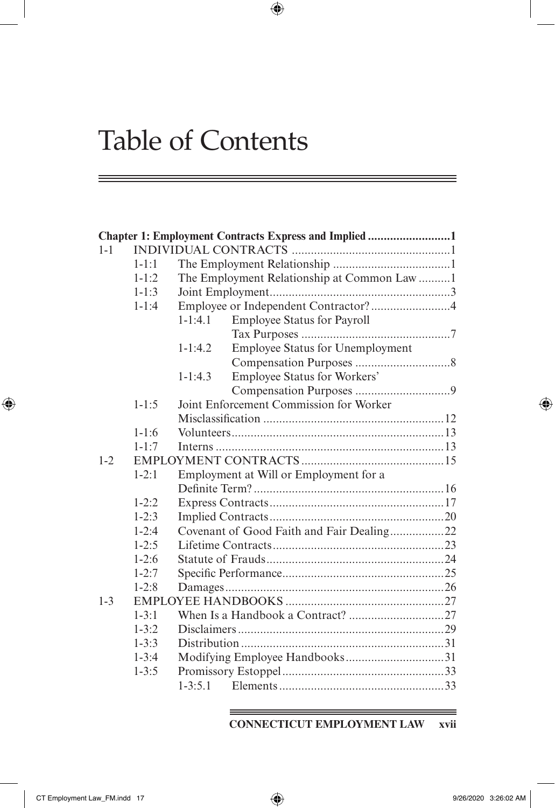|         |           |             | Chapter 1: Employment Contracts Express and Implied 1 |  |
|---------|-----------|-------------|-------------------------------------------------------|--|
| $1 - 1$ |           |             |                                                       |  |
|         | $1 - 1:1$ |             |                                                       |  |
|         | $1 - 1:2$ |             | The Employment Relationship at Common Law 1           |  |
|         | $1 - 1:3$ |             |                                                       |  |
|         | $1 - 1:4$ |             | Employee or Independent Contractor?4                  |  |
|         |           | $1 - 1:4.1$ | Employee Status for Payroll                           |  |
|         |           |             |                                                       |  |
|         |           | $1 - 1:4.2$ | Employee Status for Unemployment                      |  |
|         |           |             |                                                       |  |
|         |           | $1-1:4.3$   | <b>Employee Status for Workers'</b>                   |  |
|         |           |             |                                                       |  |
|         | $1 - 1:5$ |             | Joint Enforcement Commission for Worker               |  |
|         |           |             |                                                       |  |
|         | $1 - 1:6$ |             |                                                       |  |
|         | $1 - 1:7$ |             |                                                       |  |
| $1 - 2$ |           |             |                                                       |  |
|         | $1 - 2:1$ |             | Employment at Will or Employment for a                |  |
|         |           |             |                                                       |  |
|         | $1 - 2:2$ |             |                                                       |  |
|         | $1 - 2:3$ |             |                                                       |  |
|         | $1 - 2:4$ |             | Covenant of Good Faith and Fair Dealing22             |  |
|         | $1 - 2:5$ |             |                                                       |  |
|         | $1-2:6$   |             |                                                       |  |
|         | $1 - 2:7$ |             |                                                       |  |
|         | $1 - 2:8$ |             |                                                       |  |
| $1 - 3$ |           |             |                                                       |  |
|         | $1 - 3:1$ |             |                                                       |  |
|         | $1 - 3:2$ |             |                                                       |  |
|         | $1 - 3:3$ |             |                                                       |  |
|         | $1 - 3:4$ |             |                                                       |  |
|         | $1 - 3:5$ |             |                                                       |  |
|         |           | $1 - 3:5.1$ |                                                       |  |
|         |           |             |                                                       |  |

 $\bigoplus$ 

**CONNECTICUT EMPLOYMENT LAW xvii**

 $\bigoplus$ 

═

 $\bigoplus$ 

Ξ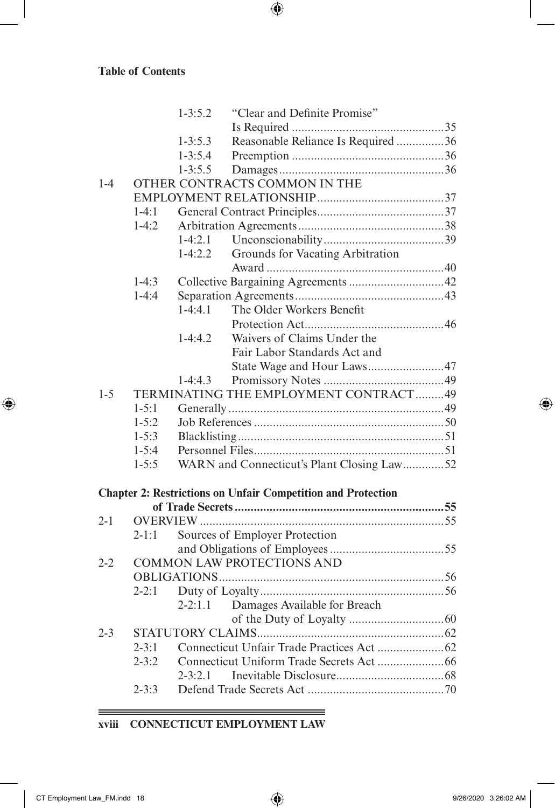$\overline{\phantom{a}}$ 

 $\bigoplus$ 

|         |           | $1 - 3:5.2$ | "Clear and Definite Promise"                                        |  |
|---------|-----------|-------------|---------------------------------------------------------------------|--|
|         |           |             |                                                                     |  |
|         |           | $1 - 3:5.3$ | Reasonable Reliance Is Required 36                                  |  |
|         |           | $1 - 3:5.4$ |                                                                     |  |
|         |           | $1 - 3:5.5$ |                                                                     |  |
| $1 - 4$ |           |             | OTHER CONTRACTS COMMON IN THE                                       |  |
|         |           |             |                                                                     |  |
|         | $1-4:1$   |             |                                                                     |  |
|         | $1-4:2$   |             |                                                                     |  |
|         |           | $1-4:2.1$   |                                                                     |  |
|         |           | $1-4:2.2$   | Grounds for Vacating Arbitration                                    |  |
|         |           |             |                                                                     |  |
|         | $1-4:3$   |             |                                                                     |  |
|         | $1-4:4$   |             |                                                                     |  |
|         |           | $1-4.41$    | The Older Workers Benefit                                           |  |
|         |           |             |                                                                     |  |
|         |           | $1-4:4.2$   | Waivers of Claims Under the                                         |  |
|         |           |             | Fair Labor Standards Act and                                        |  |
|         |           |             | State Wage and Hour Laws47                                          |  |
|         |           | $1-4:4.3$   |                                                                     |  |
| $1 - 5$ |           |             | TERMINATING THE EMPLOYMENT CONTRACT49                               |  |
|         | $1 - 5:1$ |             |                                                                     |  |
|         | $1 - 5:2$ |             |                                                                     |  |
|         | $1 - 5:3$ |             |                                                                     |  |
|         | $1 - 5:4$ |             |                                                                     |  |
|         | $1 - 5:5$ |             | WARN and Connecticut's Plant Closing Law52                          |  |
|         |           |             | <b>Chapter 2: Restrictions on Unfair Competition and Protection</b> |  |
|         |           |             |                                                                     |  |
| $2 - 1$ |           |             |                                                                     |  |
|         | $2-1:1$   |             | Sources of Employer Protection                                      |  |
|         |           |             |                                                                     |  |
| $2 - 2$ |           |             | <b>COMMON LAW PROTECTIONS AND</b>                                   |  |
|         |           |             |                                                                     |  |
|         | $2 - 2:1$ |             |                                                                     |  |
|         |           | $2 - 2:1.1$ | Damages Available for Breach                                        |  |
|         |           |             |                                                                     |  |
| $2 - 3$ |           |             |                                                                     |  |
|         | $2 - 3:1$ |             |                                                                     |  |
|         | $2 - 3:2$ |             |                                                                     |  |
|         |           | $2 - 3:2.1$ |                                                                     |  |
|         | $2 - 3:3$ |             |                                                                     |  |
|         |           |             |                                                                     |  |

 $\bigoplus$ 

**xviii CONNECTICUT EMPLOYMENT LAW**

<u> 1989 - Johann Barn, mars eta biztanleria (h. 1989).</u>

 $\equiv$ 

===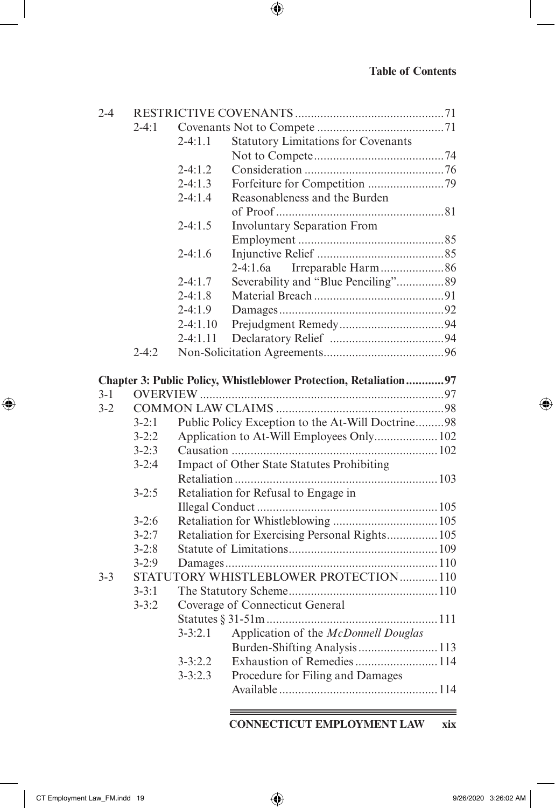| $2 - 4$ |           |             |                                                                   |  |
|---------|-----------|-------------|-------------------------------------------------------------------|--|
|         | $2-4:1$   |             |                                                                   |  |
|         |           | $2 - 4:1.1$ | <b>Statutory Limitations for Covenants</b>                        |  |
|         |           |             |                                                                   |  |
|         |           | $2-4:1.2$   |                                                                   |  |
|         |           | $2-4:1.3$   |                                                                   |  |
|         |           | $2-4:1.4$   | Reasonableness and the Burden                                     |  |
|         |           |             |                                                                   |  |
|         |           | $2-4:1.5$   | <b>Involuntary Separation From</b>                                |  |
|         |           |             |                                                                   |  |
|         |           | $2-4:1.6$   |                                                                   |  |
|         |           |             | 2-4:1.6a                                                          |  |
|         |           | $2-4:1.7$   |                                                                   |  |
|         |           | $2-4:1.8$   |                                                                   |  |
|         |           | $2-4:1.9$   |                                                                   |  |
|         |           | $2-4:1.10$  |                                                                   |  |
|         |           | $2-4:1.11$  |                                                                   |  |
|         | $2 - 4:2$ |             |                                                                   |  |
|         |           |             |                                                                   |  |
|         |           |             | Chapter 3: Public Policy, Whistleblower Protection, Retaliation97 |  |
| $3-1$   |           |             |                                                                   |  |
| $3 - 2$ |           |             |                                                                   |  |
|         | $3 - 2:1$ |             | Public Policy Exception to the At-Will Doctrine98                 |  |
|         | $3 - 2:2$ |             | Application to At-Will Employees Only 102                         |  |
|         | $3 - 2:3$ |             |                                                                   |  |
|         | $3 - 2:4$ |             | Impact of Other State Statutes Prohibiting                        |  |
|         |           |             |                                                                   |  |
|         | $3 - 2:5$ |             | Retaliation for Refusal to Engage in                              |  |
|         |           |             |                                                                   |  |
|         | $3 - 2:6$ |             |                                                                   |  |
|         | $3 - 2:7$ |             | Retaliation for Exercising Personal Rights 105                    |  |
|         | $3 - 2:8$ |             |                                                                   |  |
|         | $3 - 2:9$ |             |                                                                   |  |
| $3 - 3$ |           |             | STATUTORY WHISTLEBLOWER PROTECTION110                             |  |
|         | $3 - 3:1$ |             |                                                                   |  |
|         | $3 - 3:2$ |             | Coverage of Connecticut General                                   |  |
|         |           |             |                                                                   |  |
|         |           | $3 - 3:2.1$ | Application of the McDonnell Douglas                              |  |
|         |           |             | Burden-Shifting Analysis 113                                      |  |
|         |           | $3 - 3:2.2$ | Exhaustion of Remedies114                                         |  |
|         |           | $3 - 3:2.3$ | Procedure for Filing and Damages                                  |  |
|         |           |             |                                                                   |  |
|         |           |             |                                                                   |  |

 $\bigoplus$ 

**CONNECTICUT EMPLOYMENT LAW xix**

 $\overline{\phantom{a}}$ 

 $\bigoplus$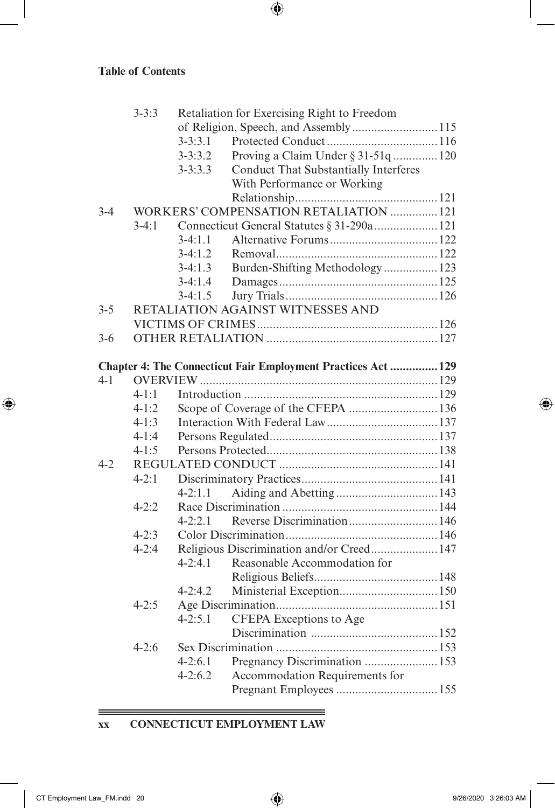|         | $3 - 3:3$ |                   | Retaliation for Exercising Right to Freedom                  |  |
|---------|-----------|-------------------|--------------------------------------------------------------|--|
|         |           |                   | of Religion, Speech, and Assembly115                         |  |
|         |           | $3 - 3:3.1$       |                                                              |  |
|         |           | $3 - 3:3.2$       | Proving a Claim Under § 31-51q  120                          |  |
|         |           | $3 - 3:3.3$       | <b>Conduct That Substantially Interferes</b>                 |  |
|         |           |                   | With Performance or Working                                  |  |
|         |           |                   |                                                              |  |
| $3-4$   |           |                   | WORKERS' COMPENSATION RETALIATION  121                       |  |
|         | $3-4:1$   |                   | Connecticut General Statutes § 31-290a 121                   |  |
|         |           | $3-4:1.1$         |                                                              |  |
|         |           | $3-4:1.2$         |                                                              |  |
|         |           | $3-4:1.3$         | Burden-Shifting Methodology  123                             |  |
|         |           | $3-4:1.4$         |                                                              |  |
|         |           | $3-4:1.5$         |                                                              |  |
| $3 - 5$ |           |                   | RETALIATION AGAINST WITNESSES AND                            |  |
|         |           |                   |                                                              |  |
| $3-6$   |           |                   |                                                              |  |
|         |           |                   |                                                              |  |
|         |           |                   | Chapter 4: The Connecticut Fair Employment Practices Act 129 |  |
| $4 - 1$ |           |                   |                                                              |  |
|         | $4 - 1:1$ |                   |                                                              |  |
|         | $4 - 1:2$ |                   | Scope of Coverage of the CFEPA  136                          |  |
|         | $4 - 1:3$ |                   |                                                              |  |
|         | $4-1:4$   |                   |                                                              |  |
|         | $4-1:5$   |                   |                                                              |  |
| $4 - 2$ |           |                   |                                                              |  |
|         | $4 - 2:1$ |                   |                                                              |  |
|         |           | $4 - 2:1.1$       |                                                              |  |
|         | $4 - 2:2$ |                   |                                                              |  |
|         |           | $4 - 2:2.1$       | Reverse Discrimination 146                                   |  |
|         | $4 - 2:3$ |                   |                                                              |  |
|         | $4 - 2:4$ |                   | Religious Discrimination and/or Creed 147                    |  |
|         |           | $4 - 2 \cdot 4$ 1 | Reasonable Accommodation for                                 |  |
|         |           |                   |                                                              |  |
|         |           | $4 - 2:4.2$       |                                                              |  |
|         | $4 - 2:5$ |                   |                                                              |  |
|         |           | $4 - 2:5.1$       | CFEPA Exceptions to Age                                      |  |
|         |           |                   |                                                              |  |
|         | $4 - 2:6$ |                   |                                                              |  |
|         |           | $4-2:6.1$         |                                                              |  |
|         |           | $4 - 2:6.2$       | Accommodation Requirements for                               |  |
|         |           |                   |                                                              |  |
|         |           |                   |                                                              |  |

 $\bigoplus$ 

**xx CONNECTICUT EMPLOYMENT LAW**

 $\equiv$ 

 $\bigoplus$ 

 $\bigoplus$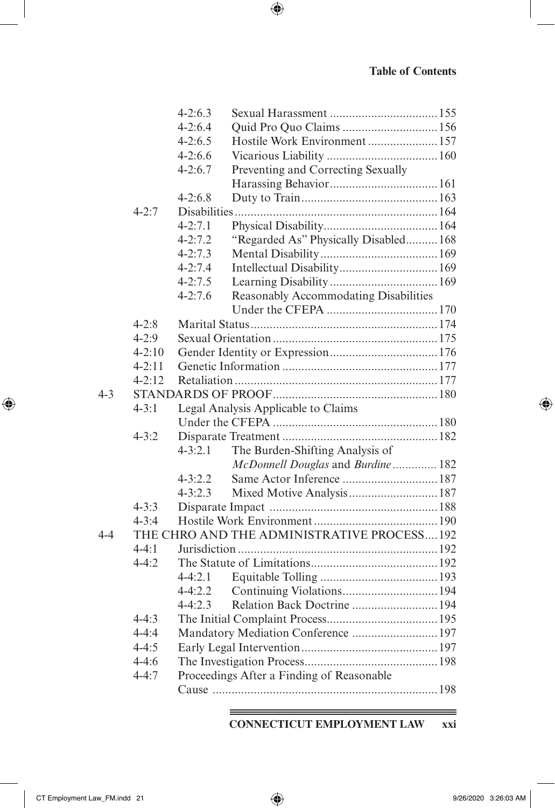|         |            | $4 - 2:6.3$ |                                             |  |
|---------|------------|-------------|---------------------------------------------|--|
|         |            | $4 - 2:6.4$ | Quid Pro Quo Claims  156                    |  |
|         |            | $4 - 2:6.5$ | Hostile Work Environment 157                |  |
|         |            | $4 - 2:6.6$ |                                             |  |
|         |            | $4 - 2:6.7$ | Preventing and Correcting Sexually          |  |
|         |            |             |                                             |  |
|         |            | $4 - 2:6.8$ |                                             |  |
|         | $4 - 2:7$  |             |                                             |  |
|         |            | $4 - 2:7.1$ |                                             |  |
|         |            | $4 - 2:7.2$ | "Regarded As" Physically Disabled 168       |  |
|         |            | $4 - 2:7.3$ |                                             |  |
|         |            | $4 - 2:7.4$ | Intellectual Disability 169                 |  |
|         |            | $4 - 2:7.5$ |                                             |  |
|         |            | $4 - 2:7.6$ | Reasonably Accommodating Disabilities       |  |
|         |            |             |                                             |  |
|         | $4 - 2:8$  |             |                                             |  |
|         | $4 - 2:9$  |             |                                             |  |
|         | $4 - 2:10$ |             |                                             |  |
|         | $4 - 2:11$ |             |                                             |  |
|         | $4 - 2:12$ |             |                                             |  |
| $4 - 3$ |            |             |                                             |  |
|         | $4 - 3:1$  |             | Legal Analysis Applicable to Claims         |  |
|         |            |             |                                             |  |
|         | $4 - 3:2$  |             |                                             |  |
|         |            | $4 - 3:2.1$ | The Burden-Shifting Analysis of             |  |
|         |            |             | McDonnell Douglas and Burdine 182           |  |
|         |            | $4 - 3:2.2$ | Same Actor Inference  187                   |  |
|         |            | $4 - 3:2.3$ |                                             |  |
|         | $4 - 3:3$  |             |                                             |  |
|         | $4 - 3:4$  |             |                                             |  |
| $4-4$   |            |             | THE CHRO AND THE ADMINISTRATIVE PROCESS 192 |  |
|         | $4-4:1$    |             |                                             |  |
|         | $4 - 4:2$  |             |                                             |  |
|         |            | $4 - 4:2.1$ |                                             |  |
|         |            | $4 - 4:2.2$ | Continuing Violations 194                   |  |
|         |            | $4 - 4:2.3$ | Relation Back Doctrine  194                 |  |
|         | $4 - 4:3$  |             |                                             |  |
|         | $4 - 4:4$  |             | Mandatory Mediation Conference  197         |  |
|         | $4 - 4:5$  |             |                                             |  |
|         | $4-4:6$    |             |                                             |  |
|         | $4 - 4:7$  |             | Proceedings After a Finding of Reasonable   |  |
|         |            |             |                                             |  |

 $\bigoplus$ 

#### <u> 1989 - Johann Barn, mars an t-Amerikaansk politiker (</u> **CONNECTICUT EMPLOYMENT LAW xxi**

 $\overline{\phantom{a}}$ 

 $\bigoplus$ 

 $\bigoplus$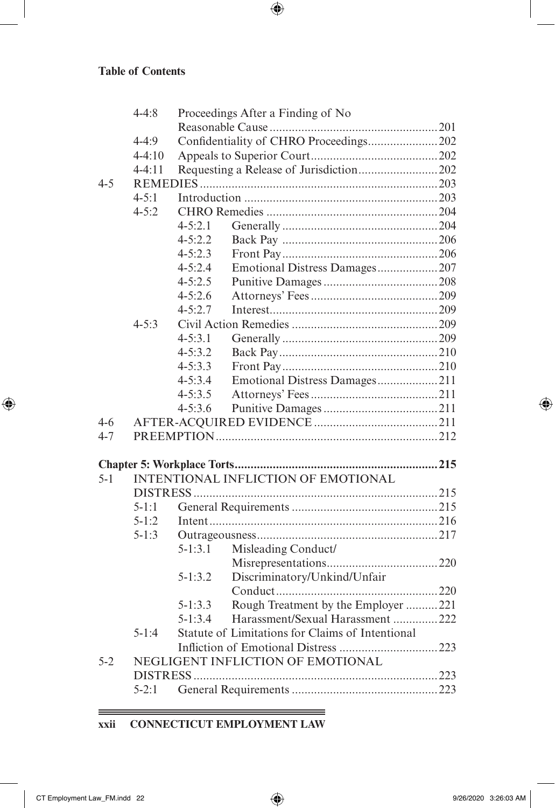$\overline{\phantom{a}}$ 

 $\bigoplus$ 

|         | $4 - 4:8$  |             | Proceedings After a Finding of No                |  |
|---------|------------|-------------|--------------------------------------------------|--|
|         |            |             |                                                  |  |
|         | $4 - 4:9$  |             | Confidentiality of CHRO Proceedings202           |  |
|         | $4 - 4:10$ |             |                                                  |  |
|         | $4 - 4:11$ |             |                                                  |  |
| $4 - 5$ |            |             |                                                  |  |
|         | $4 - 5:1$  |             |                                                  |  |
|         | $4 - 5:2$  |             |                                                  |  |
|         |            | $4 - 5:2.1$ |                                                  |  |
|         |            | $4 - 5:2.2$ |                                                  |  |
|         |            | $4 - 5:2.3$ |                                                  |  |
|         |            | $4 - 5:2.4$ | Emotional Distress Damages207                    |  |
|         |            | $4 - 5:2.5$ |                                                  |  |
|         |            | $4 - 5:2.6$ |                                                  |  |
|         |            | $4 - 5:2.7$ |                                                  |  |
|         | $4 - 5.3$  |             |                                                  |  |
|         |            | $4 - 5:3.1$ |                                                  |  |
|         |            | $4 - 5:3.2$ |                                                  |  |
|         |            | $4 - 5:3.3$ |                                                  |  |
|         |            | $4 - 5:3.4$ | Emotional Distress Damages211                    |  |
|         |            | $4 - 5:3.5$ |                                                  |  |
|         |            | $4 - 5:3.6$ |                                                  |  |
| $4-6$   |            |             |                                                  |  |
| $4 - 7$ |            |             |                                                  |  |
|         |            |             |                                                  |  |
| $5 - 1$ |            |             | INTENTIONAL INFLICTION OF EMOTIONAL              |  |
|         |            |             |                                                  |  |
|         | $5 - 1:1$  |             |                                                  |  |
|         | $5 - 1:2$  |             |                                                  |  |
|         | $5 - 1:3$  |             |                                                  |  |
|         |            | $5-1:3.1$   | Misleading Conduct/                              |  |
|         |            |             |                                                  |  |
|         |            | 5-1:3.2     | Discriminatory/Unkind/Unfair                     |  |
|         |            |             |                                                  |  |
|         |            | 5-1:3.3     | Rough Treatment by the Employer 221              |  |
|         |            | $5 - 1:3.4$ | Harassment/Sexual Harassment 222                 |  |
|         | $5-1:4$    |             | Statute of Limitations for Claims of Intentional |  |
|         |            |             |                                                  |  |
| $5 - 2$ |            |             | NEGLIGENT INFLICTION OF EMOTIONAL                |  |
|         |            |             |                                                  |  |
|         | $5 - 2:1$  |             |                                                  |  |
|         |            |             |                                                  |  |

 $\bigoplus$ 

#### **xxii CONNECTICUT EMPLOYMENT LAW**

<u> 1989 - Johann Barn, mars eta bainar eta idazlea (h. 1989).</u>

 $\equiv$ 

===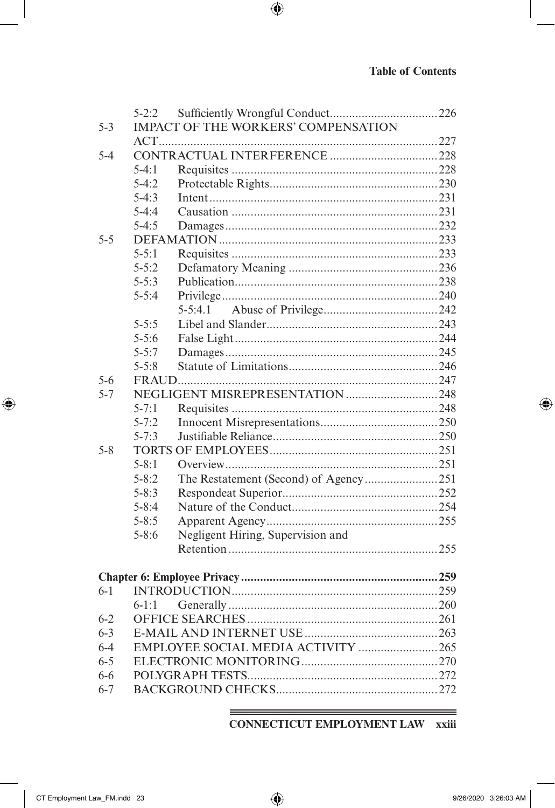I

 $\bigoplus$ 

|         | $5 - 2:2$ |                                            |  |
|---------|-----------|--------------------------------------------|--|
| $5 - 3$ |           | <b>IMPACT OF THE WORKERS' COMPENSATION</b> |  |
|         |           |                                            |  |
| $5 - 4$ |           |                                            |  |
|         | $5-4:1$   |                                            |  |
|         | $5 - 4:2$ |                                            |  |
|         | $5-4:3$   |                                            |  |
|         | $5-4:4$   |                                            |  |
|         | $5-4:5$   |                                            |  |
| $5 - 5$ |           |                                            |  |
|         | $5 - 5:1$ |                                            |  |
|         | $5 - 5:2$ |                                            |  |
|         | $5 - 5:3$ |                                            |  |
|         | $5 - 5:4$ |                                            |  |
|         |           | $5 - 5:4.1$                                |  |
|         | $5 - 5:5$ |                                            |  |
|         | $5 - 5:6$ |                                            |  |
|         | $5 - 5:7$ |                                            |  |
|         | $5 - 5:8$ |                                            |  |
| $5-6$   |           |                                            |  |
| $5 - 7$ |           |                                            |  |
|         | $5 - 7:1$ |                                            |  |
|         | $5 - 7:2$ |                                            |  |
|         | $5 - 7:3$ |                                            |  |
| $5 - 8$ |           |                                            |  |
|         | $5 - 8:1$ |                                            |  |
|         | $5 - 8:2$ |                                            |  |
|         | $5 - 8:3$ |                                            |  |
|         | $5 - 8:4$ |                                            |  |
|         | $5 - 8:5$ |                                            |  |
|         | $5 - 8:6$ | Negligent Hiring, Supervision and          |  |
|         |           |                                            |  |
|         |           |                                            |  |
|         |           |                                            |  |
| $6 - 1$ |           |                                            |  |
|         | $6 - 1:1$ |                                            |  |
| $6 - 2$ |           |                                            |  |
| $6 - 3$ |           |                                            |  |
| $6 - 4$ |           | EMPLOYEE SOCIAL MEDIA ACTIVITY 265         |  |
| $6 - 5$ |           |                                            |  |
| 6-6     |           |                                            |  |
| $6 - 7$ |           |                                            |  |
|         |           |                                            |  |

 $\bigoplus$ 

<u> 1989 - Johann Barnett, fransk politiker (d. 1989)</u> **CONNECTICUT EMPLOYMENT LAW xxiii** 

 $\overline{\phantom{a}}$ 

 $\bigoplus$ 

 $\bigoplus$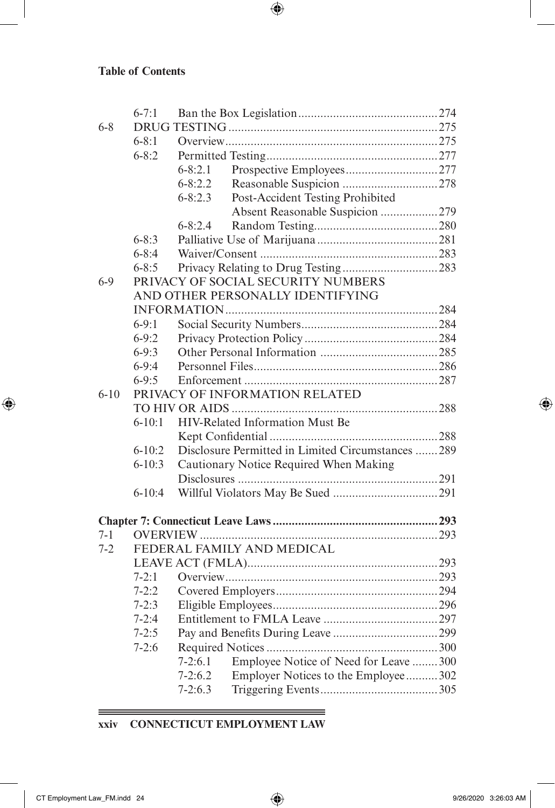$\overline{\phantom{a}}$ 

 $\bigoplus$ 

|          | $6 - 7:1$  |                                                     |  |
|----------|------------|-----------------------------------------------------|--|
| $6 - 8$  |            |                                                     |  |
|          | $6 - 8:1$  |                                                     |  |
|          | $6 - 8:2$  |                                                     |  |
|          |            | $6 - 8:2.1$                                         |  |
|          |            | $6 - 8:2.2$                                         |  |
|          |            | $6 - 8:2.3$<br>Post-Accident Testing Prohibited     |  |
|          |            | Absent Reasonable Suspicion 279                     |  |
|          |            | $6 - 8:2.4$                                         |  |
|          | $6 - 8:3$  |                                                     |  |
|          | $6 - 8:4$  |                                                     |  |
|          | $6 - 8:5$  |                                                     |  |
| $6 - 9$  |            | PRIVACY OF SOCIAL SECURITY NUMBERS                  |  |
|          |            | AND OTHER PERSONALLY IDENTIFYING                    |  |
|          |            |                                                     |  |
|          | $6-9:1$    |                                                     |  |
|          | $6 - 9:2$  |                                                     |  |
|          | $6-9:3$    |                                                     |  |
|          | $6-9:4$    |                                                     |  |
|          | $6 - 9:5$  |                                                     |  |
| $6 - 10$ |            | PRIVACY OF INFORMATION RELATED                      |  |
|          |            |                                                     |  |
|          | $6 - 10:1$ | HIV-Related Information Must Be                     |  |
|          |            |                                                     |  |
|          | $6 - 10:2$ | Disclosure Permitted in Limited Circumstances 289   |  |
|          | $6 - 10:3$ | Cautionary Notice Required When Making              |  |
|          |            |                                                     |  |
|          | $6-10:4$   |                                                     |  |
|          |            |                                                     |  |
| $7 - 1$  |            |                                                     |  |
| $7 - 2$  |            | FEDERAL FAMILY AND MEDICAL                          |  |
|          |            |                                                     |  |
|          | $7 - 2:1$  |                                                     |  |
|          | $7 - 2:2$  |                                                     |  |
|          | $7 - 2:3$  |                                                     |  |
|          | $7 - 2:4$  |                                                     |  |
|          | $7 - 2:5$  |                                                     |  |
|          | $7-2:6$    |                                                     |  |
|          |            | Employee Notice of Need for Leave  300<br>$7-2:6.1$ |  |
|          |            | Employer Notices to the Employee302<br>$7 - 2:6.2$  |  |
|          |            | $7-2:6.3$                                           |  |

 $\bigoplus$ 

**xxiv CONNECTICUT EMPLOYMENT LAW**

<u> 1989 - Johann Barn, mars eta biztanleria (h. 1989).</u>

 $\equiv$ \_\_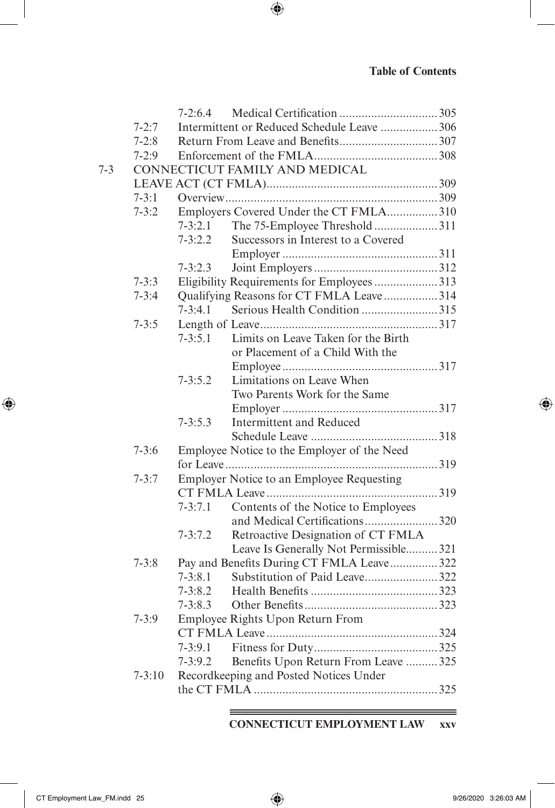|         |            | $7-2:6.4$   |                                             |  |
|---------|------------|-------------|---------------------------------------------|--|
|         | $7 - 2:7$  |             | Intermittent or Reduced Schedule Leave  306 |  |
|         | $7-2:8$    |             |                                             |  |
|         | $7-2:9$    |             |                                             |  |
| $7 - 3$ |            |             | CONNECTICUT FAMILY AND MEDICAL              |  |
|         |            |             |                                             |  |
|         | $7 - 3:1$  |             |                                             |  |
|         | $7 - 3:2$  |             | Employers Covered Under the CT FMLA310      |  |
|         |            | $7 - 3:2.1$ | The 75-Employee Threshold 311               |  |
|         |            | $7 - 3:2.2$ | Successors in Interest to a Covered         |  |
|         |            |             |                                             |  |
|         |            | $7 - 3:2.3$ |                                             |  |
|         | $7 - 3:3$  |             | Eligibility Requirements for Employees 313  |  |
|         | $7 - 3:4$  |             | Qualifying Reasons for CT FMLA Leave314     |  |
|         |            | $7 - 3:4.1$ | Serious Health Condition 315                |  |
|         | $7 - 3:5$  |             |                                             |  |
|         |            | $7 - 3:5.1$ | Limits on Leave Taken for the Birth         |  |
|         |            |             | or Placement of a Child With the            |  |
|         |            |             |                                             |  |
|         |            | $7 - 3:5.2$ | Limitations on Leave When                   |  |
|         |            |             | Two Parents Work for the Same               |  |
|         |            |             |                                             |  |
|         |            | $7 - 3:5.3$ | Intermittent and Reduced                    |  |
|         |            |             |                                             |  |
|         | $7 - 3:6$  |             | Employee Notice to the Employer of the Need |  |
|         |            |             |                                             |  |
|         | $7 - 3:7$  |             | Employer Notice to an Employee Requesting   |  |
|         |            |             |                                             |  |
|         |            | $7 - 3:7.1$ | Contents of the Notice to Employees         |  |
|         |            |             | and Medical Certifications320               |  |
|         |            | $7 - 3:7.2$ | Retroactive Designation of CT FMLA          |  |
|         |            |             | Leave Is Generally Not Permissible321       |  |
|         | $7 - 3:8$  |             | Pay and Benefits During CT FMLA Leave322    |  |
|         |            | $7 - 3:8.1$ | Substitution of Paid Leave322               |  |
|         |            | $7 - 3:8.2$ |                                             |  |
|         |            | $7 - 3:8.3$ |                                             |  |
|         | $7 - 3:9$  |             | Employee Rights Upon Return From            |  |
|         |            |             |                                             |  |
|         |            | $7 - 3:9.1$ |                                             |  |
|         |            | $7 - 3:9.2$ | Benefits Upon Return From Leave  325        |  |
|         | $7 - 3:10$ |             | Recordkeeping and Posted Notices Under      |  |
|         |            |             |                                             |  |
|         |            |             |                                             |  |

 $\bigoplus$ 

<u> 1989 - Johann Stein, marwolaethau a bhann an t-Amhair an t-Amhair an t-Amhair an t-Amhair an t-Amhair an t-A</u> **CONNECTICUT EMPLOYMENT LAW xxv**

 $\overline{\phantom{a}}$ 

 $\bigoplus$ 

 $\bigoplus$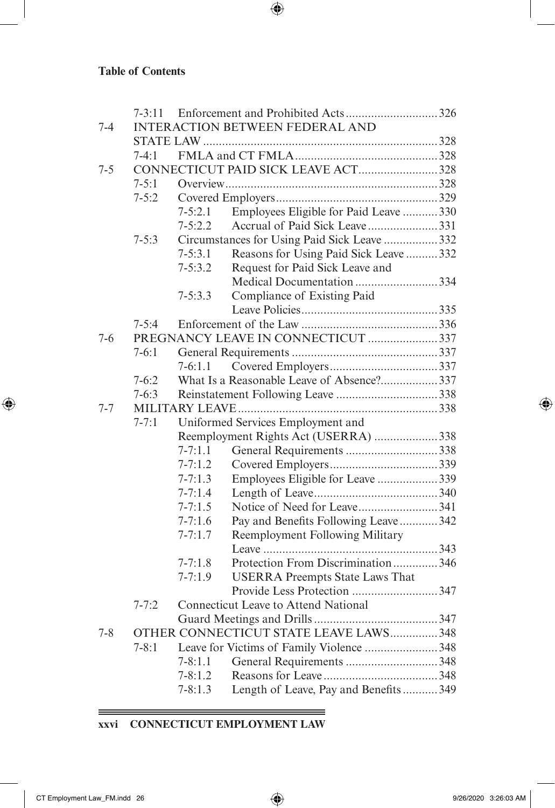$\overline{\phantom{a}}$ 

 $\bigoplus$ 

|         | $7 - 3:11$                                     |             |                                              |  |  |
|---------|------------------------------------------------|-------------|----------------------------------------------|--|--|
| $7 - 4$ |                                                |             | <b>INTERACTION BETWEEN FEDERAL AND</b>       |  |  |
|         |                                                |             |                                              |  |  |
|         | $7-4:1$                                        |             |                                              |  |  |
| $7 - 5$ |                                                |             | CONNECTICUT PAID SICK LEAVE ACT328           |  |  |
|         | $7 - 5:1$                                      |             |                                              |  |  |
|         | $7 - 5:2$                                      |             |                                              |  |  |
|         |                                                | $7 - 5:2.1$ | Employees Eligible for Paid Leave  330       |  |  |
|         |                                                | $7 - 5:2.2$ | Accrual of Paid Sick Leave331                |  |  |
|         | $7 - 5:3$                                      |             | Circumstances for Using Paid Sick Leave  332 |  |  |
|         |                                                | $7 - 5:3.1$ | Reasons for Using Paid Sick Leave  332       |  |  |
|         |                                                | $7 - 5:3.2$ | Request for Paid Sick Leave and              |  |  |
|         |                                                |             | Medical Documentation 334                    |  |  |
|         |                                                | $7 - 5:3.3$ | Compliance of Existing Paid                  |  |  |
|         |                                                |             |                                              |  |  |
|         | $7 - 5:4$                                      |             |                                              |  |  |
| 7-6     |                                                |             | PREGNANCY LEAVE IN CONNECTICUT 337           |  |  |
|         | $7-6:1$                                        |             |                                              |  |  |
|         |                                                | $7-6:1.1$   |                                              |  |  |
|         | $7 - 6:2$                                      |             | What Is a Reasonable Leave of Absence?337    |  |  |
|         | $7 - 6:3$                                      |             |                                              |  |  |
| $7 - 7$ |                                                |             |                                              |  |  |
|         | $7 - 7:1$<br>Uniformed Services Employment and |             |                                              |  |  |
|         |                                                |             | Reemployment Rights Act (USERRA) 338         |  |  |
|         |                                                | $7 - 7:1.1$ | General Requirements 338                     |  |  |
|         |                                                | $7 - 7:1.2$ |                                              |  |  |
|         |                                                | $7 - 7:1.3$ | Employees Eligible for Leave 339             |  |  |
|         |                                                | $7 - 7:1.4$ |                                              |  |  |
|         |                                                | $7 - 7:1.5$ | Notice of Need for Leave341                  |  |  |
|         |                                                | $7 - 7:1.6$ | Pay and Benefits Following Leave  342        |  |  |
|         |                                                | $7 - 7:1.7$ | <b>Reemployment Following Military</b>       |  |  |
|         |                                                |             |                                              |  |  |
|         |                                                | $7 - 7:1.8$ | Protection From Discrimination346            |  |  |
|         |                                                | $7 - 7:1.9$ | <b>USERRA Preempts State Laws That</b>       |  |  |
|         |                                                |             | Provide Less Protection 347                  |  |  |
|         | $7 - 7:2$                                      |             | Connecticut Leave to Attend National         |  |  |
|         |                                                |             |                                              |  |  |
| $7 - 8$ |                                                |             | OTHER CONNECTICUT STATE LEAVE LAWS 348       |  |  |
|         | $7 - 8:1$                                      |             | Leave for Victims of Family Violence 348     |  |  |
|         |                                                | $7 - 8:1.1$ | General Requirements 348                     |  |  |
|         |                                                | $7 - 8:1.2$ |                                              |  |  |
|         |                                                | $7 - 8:1.3$ | Length of Leave, Pay and Benefits  349       |  |  |

 $\bigoplus$ 

**xxvi CONNECTICUT EMPLOYMENT LAW**

<u> 1989 - Johann Barn, mars eta biztanleria (h. 1989).</u>

 $\equiv$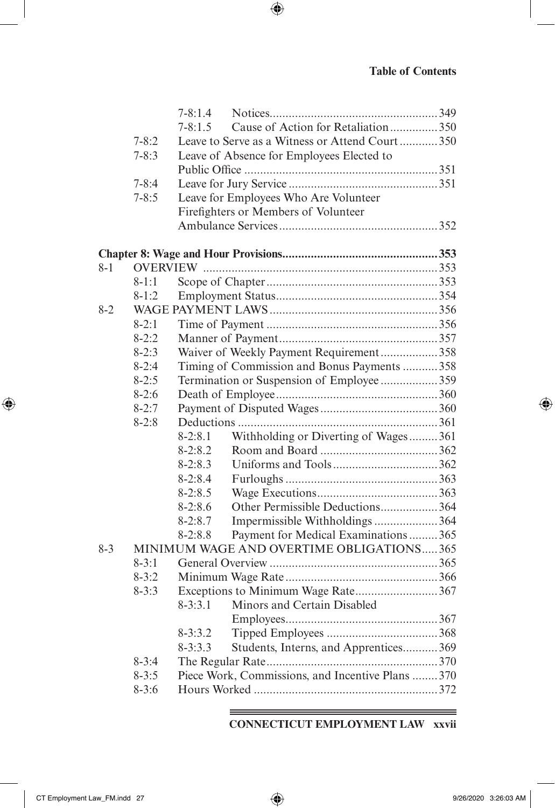$\overline{\phantom{a}}$ 

 $\bigoplus$ 

|       |           | $7 - 8:1.4$ |                                                   |  |
|-------|-----------|-------------|---------------------------------------------------|--|
|       |           | $7 - 8:1.5$ | Cause of Action for Retaliation350                |  |
|       | $7 - 8:2$ |             | Leave to Serve as a Witness or Attend Court350    |  |
|       | $7 - 8:3$ |             | Leave of Absence for Employees Elected to         |  |
|       |           |             |                                                   |  |
|       | $7 - 8:4$ |             |                                                   |  |
|       | $7 - 8:5$ |             | Leave for Employees Who Are Volunteer             |  |
|       |           |             | Firefighters or Members of Volunteer              |  |
|       |           |             |                                                   |  |
|       |           |             |                                                   |  |
|       |           |             |                                                   |  |
| 8-1   |           |             |                                                   |  |
|       | $8 - 1:1$ |             |                                                   |  |
|       | $8-1:2$   |             |                                                   |  |
| $8-2$ |           |             |                                                   |  |
|       | $8-2:1$   |             |                                                   |  |
|       | $8-2:2$   |             |                                                   |  |
|       | $8 - 2:3$ |             | Waiver of Weekly Payment Requirement358           |  |
|       | $8-2:4$   |             | Timing of Commission and Bonus Payments  358      |  |
|       | $8 - 2:5$ |             | Termination or Suspension of Employee359          |  |
|       | $8-2:6$   |             |                                                   |  |
|       | $8-2:7$   |             |                                                   |  |
|       | $8-2:8$   |             |                                                   |  |
|       |           | $8-2:8.1$   | Withholding or Diverting of Wages361              |  |
|       |           | $8-2:8.2$   |                                                   |  |
|       |           | $8 - 2:8.3$ |                                                   |  |
|       |           | $8-2:8.4$   |                                                   |  |
|       |           | $8-2:8.5$   |                                                   |  |
|       |           | $8-2:8.6$   | Other Permissible Deductions 364                  |  |
|       |           | $8 - 2:8.7$ | Impermissible Withholdings 364                    |  |
|       |           | $8-2:8.8$   | Payment for Medical Examinations365               |  |
| $8-3$ |           |             | MINIMUM WAGE AND OVERTIME OBLIGATIONS365          |  |
|       | $8 - 3:1$ |             |                                                   |  |
|       | $8 - 3:2$ |             |                                                   |  |
|       | $8 - 3:3$ |             | Exceptions to Minimum Wage Rate367                |  |
|       |           | $8 - 3:3.1$ | Minors and Certain Disabled                       |  |
|       |           |             |                                                   |  |
|       |           | $8 - 3:3.2$ |                                                   |  |
|       |           | $8 - 3:3.3$ | Students, Interns, and Apprentices 369            |  |
|       | $8 - 3:4$ |             |                                                   |  |
|       | $8 - 3:5$ |             | Piece Work, Commissions, and Incentive Plans  370 |  |
|       | $8 - 3:6$ |             |                                                   |  |

 $\bigoplus$ 

<u> 1989 - Johann Barnett, fransk politiker (d. 1989)</u> **CONNECTICUT EMPLOYMENT LAW xxvii**

 $\overline{\phantom{a}}$ 

 $\bigoplus$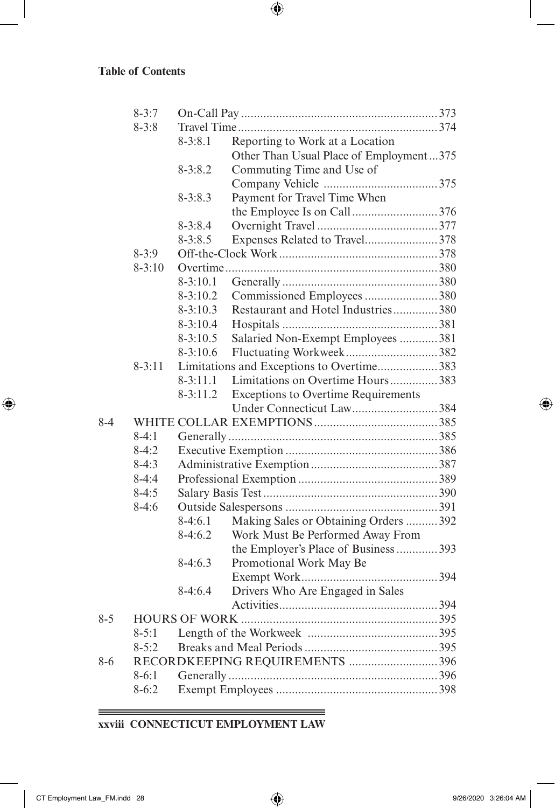$\overline{\phantom{a}}$ 

 $\bigoplus$ 

|         | $8 - 3:7$  |              |                                            |  |
|---------|------------|--------------|--------------------------------------------|--|
|         | $8 - 3:8$  |              |                                            |  |
|         |            | $8 - 3:8.1$  | Reporting to Work at a Location            |  |
|         |            |              | Other Than Usual Place of Employment375    |  |
|         |            | $8 - 3:8.2$  | Commuting Time and Use of                  |  |
|         |            |              |                                            |  |
|         |            | $8 - 3:8.3$  | Payment for Travel Time When               |  |
|         |            |              | the Employee Is on Call376                 |  |
|         |            | $8 - 3:8.4$  |                                            |  |
|         |            | $8 - 3:8.5$  | Expenses Related to Travel378              |  |
|         | $8 - 3:9$  |              |                                            |  |
|         | $8 - 3:10$ |              |                                            |  |
|         |            | $8-3:10.1$   |                                            |  |
|         |            | $8-3:10.2$   | Commissioned Employees 380                 |  |
|         |            | $8 - 3:10.3$ | Restaurant and Hotel Industries380         |  |
|         |            | $8-3:10.4$   |                                            |  |
|         |            | $8 - 3:10.5$ | Salaried Non-Exempt Employees 381          |  |
|         |            | $8-3:10.6$   |                                            |  |
|         | $8 - 3:11$ |              | Limitations and Exceptions to Overtime383  |  |
|         |            | $8 - 3:11.1$ | Limitations on Overtime Hours383           |  |
|         |            | $8 - 3:11.2$ | <b>Exceptions to Overtime Requirements</b> |  |
|         |            |              | Under Connecticut Law384                   |  |
| $8 - 4$ |            |              |                                            |  |
|         | $8-4:1$    |              |                                            |  |
|         | $8-4:2$    |              |                                            |  |
|         | $8-4:3$    |              |                                            |  |
|         | $8-4:4$    |              |                                            |  |
|         | $8-4:5$    |              |                                            |  |
|         | $8-4:6$    |              |                                            |  |
|         |            | $8-4:6.1$    | Making Sales or Obtaining Orders  392      |  |
|         |            | $8-4:6.2$    | Work Must Be Performed Away From           |  |
|         |            |              | the Employer's Place of Business  393      |  |
|         |            | $8-4:6.3$    | Promotional Work May Be                    |  |
|         |            |              |                                            |  |
|         |            | $8-4:6.4$    | Drivers Who Are Engaged in Sales           |  |
|         |            |              |                                            |  |
| $8 - 5$ |            |              |                                            |  |
|         | $8 - 5:1$  |              |                                            |  |
|         | $8 - 5:2$  |              |                                            |  |
| $8 - 6$ |            |              | RECORDKEEPING REQUIREMENTS 396             |  |
|         | $8-6:1$    |              |                                            |  |
|         | $8-6:2$    |              |                                            |  |
|         |            |              |                                            |  |

 $\bigoplus$ 

**xxviii CONNECTICUT EMPLOYMENT LAW**

 $\equiv$ 

 $\bigoplus$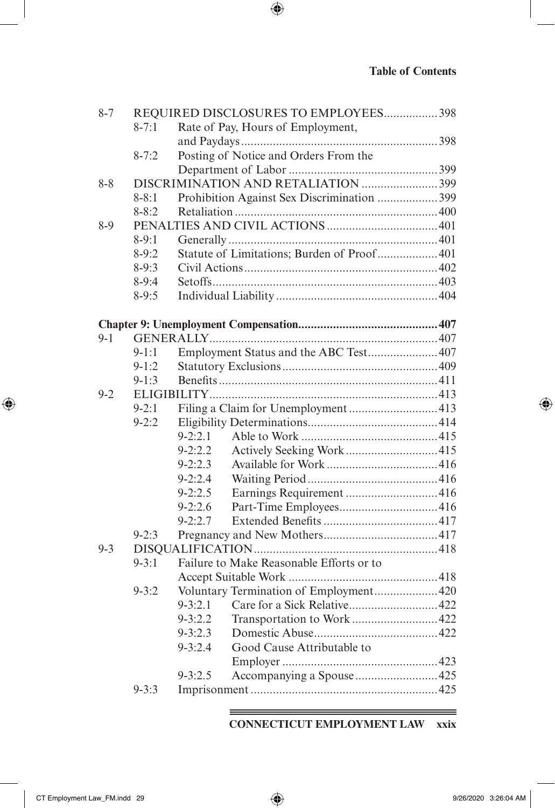I

 $\bigoplus$ 

| $8 - 7$ | REQUIRED DISCLOSURES TO EMPLOYEES 398 |             |                                            |  |  |
|---------|---------------------------------------|-------------|--------------------------------------------|--|--|
|         | $8 - 7:1$                             |             | Rate of Pay, Hours of Employment,          |  |  |
|         |                                       |             |                                            |  |  |
|         | $8 - 7:2$                             |             | Posting of Notice and Orders From the      |  |  |
|         |                                       |             |                                            |  |  |
| $8 - 8$ |                                       |             | DISCRIMINATION AND RETALIATION 399         |  |  |
|         | $8 - 8:1$                             |             | Prohibition Against Sex Discrimination 399 |  |  |
|         | $8 - 8:2$                             |             |                                            |  |  |
| $8-9$   |                                       |             |                                            |  |  |
|         | $8-9:1$                               |             |                                            |  |  |
|         | $8-9:2$                               |             | Statute of Limitations; Burden of Proof401 |  |  |
|         | $8-9:3$                               |             |                                            |  |  |
|         | $8-9:4$                               |             |                                            |  |  |
|         | $8-9:5$                               |             |                                            |  |  |
|         |                                       |             |                                            |  |  |
|         |                                       |             |                                            |  |  |
| $9 - 1$ |                                       |             |                                            |  |  |
|         | $9-1:1$                               |             | Employment Status and the ABC Test407      |  |  |
|         | $9-1:2$                               |             |                                            |  |  |
|         | $9-1:3$                               |             |                                            |  |  |
| $9 - 2$ |                                       |             |                                            |  |  |
|         | $9 - 2:1$                             |             |                                            |  |  |
|         | $9 - 2:2$                             |             |                                            |  |  |
|         |                                       | $9 - 2:2.1$ |                                            |  |  |
|         |                                       | $9 - 2:2.2$ |                                            |  |  |
|         |                                       | $9 - 2:2.3$ |                                            |  |  |
|         |                                       | $9 - 2:2.4$ |                                            |  |  |
|         |                                       | $9 - 2:2.5$ | Earnings Requirement  416                  |  |  |
|         |                                       | $9 - 2:2.6$ |                                            |  |  |
|         |                                       | $9 - 2:2.7$ |                                            |  |  |
|         | $9 - 2:3$                             |             |                                            |  |  |
| $9 - 3$ |                                       |             |                                            |  |  |
|         | $9 - 3:1$                             |             | Failure to Make Reasonable Efforts or to   |  |  |
|         |                                       |             |                                            |  |  |
|         | $9 - 3:2$                             |             | Voluntary Termination of Employment420     |  |  |
|         |                                       | $9 - 3:2.1$ | Care for a Sick Relative422                |  |  |
|         |                                       | $9 - 3:2.2$ | Transportation to Work422                  |  |  |
|         |                                       | $9 - 3:2.3$ |                                            |  |  |
|         |                                       | $9 - 3:2.4$ | Good Cause Attributable to                 |  |  |
|         |                                       |             |                                            |  |  |
|         |                                       | $9 - 3:2.5$ | Accompanying a Spouse 425                  |  |  |
|         | $9 - 3:3$                             |             |                                            |  |  |
|         |                                       |             |                                            |  |  |

 $\bigoplus$ 

#### <u> 1989 - Johann Barn, mars an t-Amerikaansk politiker (</u> **CONNECTICUT EMPLOYMENT LAW xxix**

 $\overline{\phantom{a}}$ 

 $\bigoplus$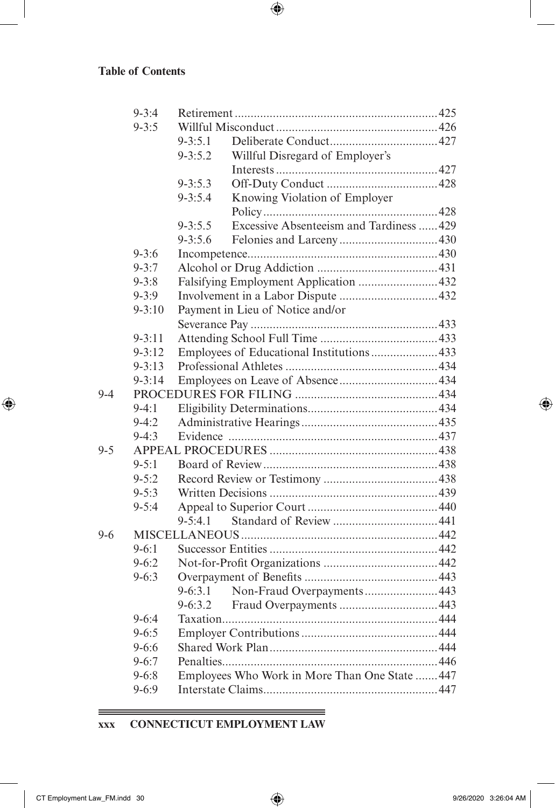$\overline{\phantom{a}}$ 

 $\bigoplus$ 

|         | $9 - 3:4$  |                                                         |  |  |
|---------|------------|---------------------------------------------------------|--|--|
|         | $9 - 3:5$  |                                                         |  |  |
|         |            | $9 - 3:5.1$                                             |  |  |
|         |            | Willful Disregard of Employer's<br>$9 - 3:5.2$          |  |  |
|         |            |                                                         |  |  |
|         |            | $9 - 3:5.3$                                             |  |  |
|         |            | $9 - 3:5.4$<br>Knowing Violation of Employer            |  |  |
|         |            |                                                         |  |  |
|         |            | Excessive Absenteeism and Tardiness  429<br>$9 - 3:5.5$ |  |  |
|         |            | $9 - 3:5.6$                                             |  |  |
|         | $9 - 3:6$  |                                                         |  |  |
|         | $9 - 3:7$  |                                                         |  |  |
|         | $9 - 3:8$  | Falsifying Employment Application 432                   |  |  |
|         | $9 - 3:9$  |                                                         |  |  |
|         | $9 - 3:10$ | Payment in Lieu of Notice and/or                        |  |  |
|         |            |                                                         |  |  |
|         | $9 - 3:11$ |                                                         |  |  |
|         | $9 - 3:12$ | Employees of Educational Institutions433                |  |  |
|         | $9 - 3:13$ |                                                         |  |  |
|         | $9 - 3:14$ |                                                         |  |  |
| $9 - 4$ |            |                                                         |  |  |
|         | $9-4:1$    |                                                         |  |  |
|         | $9-4:2$    |                                                         |  |  |
|         | $9-4:3$    |                                                         |  |  |
| $9 - 5$ |            |                                                         |  |  |
|         | $9 - 5:1$  |                                                         |  |  |
|         | $9 - 5:2$  |                                                         |  |  |
|         | $9 - 5:3$  |                                                         |  |  |
|         | $9 - 5:4$  |                                                         |  |  |
|         |            | $9 - 5:4.1$                                             |  |  |
| $9 - 6$ |            |                                                         |  |  |
|         | $9 - 6:1$  |                                                         |  |  |
|         | $9 - 6:2$  |                                                         |  |  |
|         | $9 - 6:3$  |                                                         |  |  |
|         |            | Non-Fraud Overpayments 443<br>$9 - 6:3.1$               |  |  |
|         |            | $9 - 6:3.2$                                             |  |  |
|         | $9-6:4$    |                                                         |  |  |
|         | $9 - 6:5$  |                                                         |  |  |
|         | $9 - 6:6$  |                                                         |  |  |
|         | $9 - 6:7$  |                                                         |  |  |
|         | $9 - 6:8$  | Employees Who Work in More Than One State  447          |  |  |
|         | $9 - 6:9$  |                                                         |  |  |

 $\bigoplus$ 

**xxx CONNECTICUT EMPLOYMENT LAW**

 $\equiv$ 

 $\bigoplus$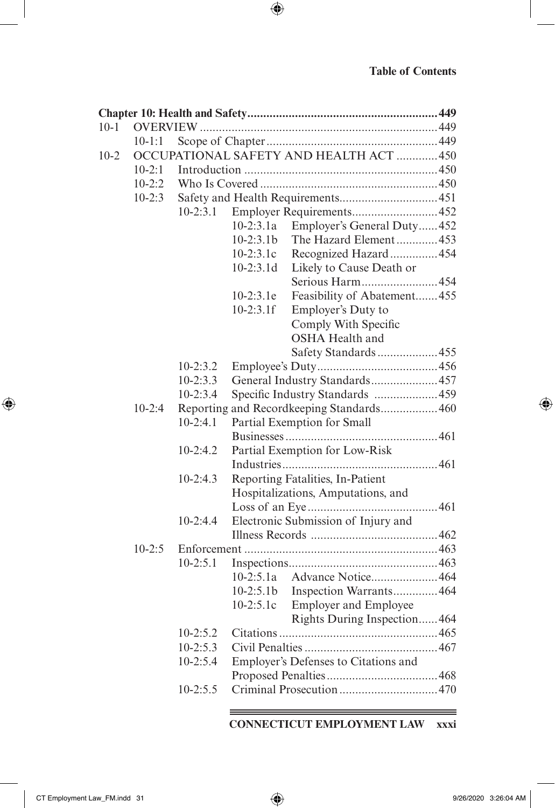I

 $\bigoplus$ 

| $10-1$ |                                        |                                           |                                 |                                      |  |  |
|--------|----------------------------------------|-------------------------------------------|---------------------------------|--------------------------------------|--|--|
|        | $10 - 1:1$                             |                                           |                                 |                                      |  |  |
| $10-2$ | OCCUPATIONAL SAFETY AND HEALTH ACT 450 |                                           |                                 |                                      |  |  |
|        | $10-2:1$                               |                                           |                                 |                                      |  |  |
|        | $10-2:2$                               |                                           |                                 |                                      |  |  |
|        | $10-2:3$                               |                                           |                                 |                                      |  |  |
|        |                                        | $10-2:3.1$                                |                                 |                                      |  |  |
|        |                                        |                                           | $10-2:3.1a$                     | Employer's General Duty452           |  |  |
|        |                                        |                                           | $10-2:3.1b$                     | The Hazard Element453                |  |  |
|        |                                        |                                           | $10-2:3.1c$                     | Recognized Hazard454                 |  |  |
|        |                                        |                                           | $10-2:3.1d$                     | Likely to Cause Death or             |  |  |
|        |                                        |                                           |                                 | Serious Harm454                      |  |  |
|        |                                        |                                           | $10-2:3.1e$                     | Feasibility of Abatement455          |  |  |
|        |                                        |                                           | $10-2:3.1f$                     | Employer's Duty to                   |  |  |
|        |                                        |                                           |                                 | Comply With Specific                 |  |  |
|        |                                        |                                           |                                 | <b>OSHA Health and</b>               |  |  |
|        |                                        |                                           |                                 | Safety Standards455                  |  |  |
|        |                                        | $10-2:3.2$                                |                                 |                                      |  |  |
|        |                                        | $10-2:3.3$                                | General Industry Standards457   |                                      |  |  |
|        |                                        | $10-2:3.4$                                | Specific Industry Standards 459 |                                      |  |  |
|        | $10-2:4$                               | Reporting and Recordkeeping Standards 460 |                                 |                                      |  |  |
|        |                                        | $10-2:4.1$                                |                                 | Partial Exemption for Small          |  |  |
|        |                                        |                                           |                                 |                                      |  |  |
|        |                                        | $10-2:4.2$                                |                                 | Partial Exemption for Low-Risk       |  |  |
|        |                                        |                                           |                                 |                                      |  |  |
|        |                                        | $10-2:4.3$                                |                                 | Reporting Fatalities, In-Patient     |  |  |
|        |                                        |                                           |                                 | Hospitalizations, Amputations, and   |  |  |
|        |                                        |                                           |                                 |                                      |  |  |
|        |                                        | $10-2:4.4$                                |                                 | Electronic Submission of Injury and  |  |  |
|        |                                        |                                           |                                 |                                      |  |  |
|        | $10 - 2:5$                             |                                           |                                 |                                      |  |  |
|        |                                        | $10-2:5.1$                                |                                 |                                      |  |  |
|        |                                        |                                           | $10-2:5.1a$                     | Advance Notice464                    |  |  |
|        |                                        |                                           | $10 - 2:5.1b$<br>$10-2:5.1c$    | Inspection Warrants464               |  |  |
|        |                                        |                                           |                                 | <b>Employer and Employee</b>         |  |  |
|        |                                        | $10-2:5.2$                                |                                 | Rights During Inspection464          |  |  |
|        |                                        | $10-2:5.3$                                |                                 |                                      |  |  |
|        |                                        | $10-2:5.4$                                |                                 | Employer's Defenses to Citations and |  |  |
|        |                                        |                                           |                                 |                                      |  |  |
|        |                                        | $10 - 2:5.5$                              |                                 |                                      |  |  |
|        |                                        |                                           |                                 |                                      |  |  |

 $\bigoplus$ 

#### <u> 1989 - Johann Barn, mars an t-Amerikaansk politiker (</u> **CONNECTICUT EMPLOYMENT LAW xxxi**

 $\overline{\phantom{a}}$ 

 $\bigoplus$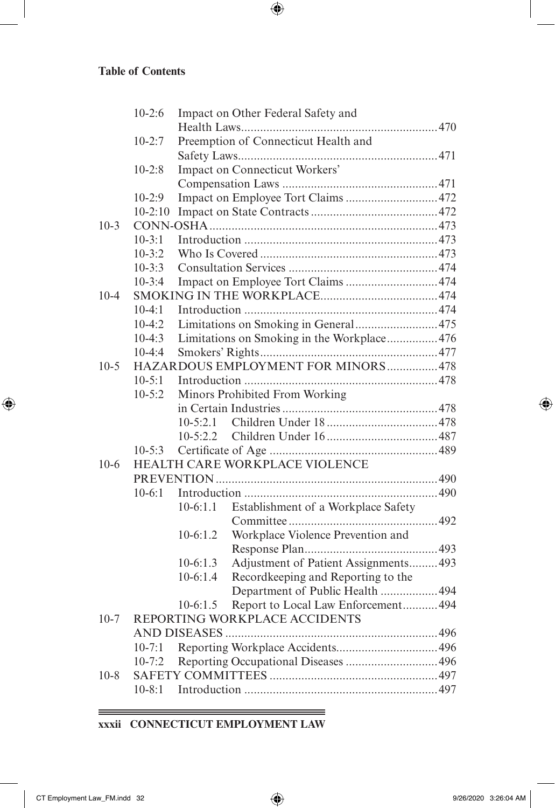$\overline{\phantom{a}}$ 

 $\bigoplus$ 

|          | $10-2:6$                           |                                | Impact on Other Federal Safety and          |  |  |  |  |
|----------|------------------------------------|--------------------------------|---------------------------------------------|--|--|--|--|
|          |                                    |                                |                                             |  |  |  |  |
|          | $10-2:7$                           |                                | Preemption of Connecticut Health and        |  |  |  |  |
|          |                                    |                                |                                             |  |  |  |  |
|          | $10-2:8$                           |                                | Impact on Connecticut Workers'              |  |  |  |  |
|          |                                    |                                |                                             |  |  |  |  |
|          | $10-2:9$                           |                                | Impact on Employee Tort Claims 472          |  |  |  |  |
|          | $10-2:10$                          |                                |                                             |  |  |  |  |
| $10-3$   |                                    |                                |                                             |  |  |  |  |
|          | $10 - 3:1$                         |                                |                                             |  |  |  |  |
|          | $10-3:2$                           |                                |                                             |  |  |  |  |
|          | $10-3:3$                           |                                |                                             |  |  |  |  |
|          | $10-3:4$                           |                                |                                             |  |  |  |  |
| $10 - 4$ |                                    |                                |                                             |  |  |  |  |
|          | $10-4:1$                           |                                |                                             |  |  |  |  |
|          | $10-4:2$                           |                                | Limitations on Smoking in General475        |  |  |  |  |
|          | $10-4:3$                           |                                | Limitations on Smoking in the Workplace 476 |  |  |  |  |
|          | $10-4:4$                           |                                |                                             |  |  |  |  |
| $10-5$   | HAZARDOUS EMPLOYMENT FOR MINORS478 |                                |                                             |  |  |  |  |
|          | $10-5:1$                           |                                |                                             |  |  |  |  |
|          | $10-5:2$                           | Minors Prohibited From Working |                                             |  |  |  |  |
|          |                                    |                                |                                             |  |  |  |  |
|          |                                    |                                |                                             |  |  |  |  |
|          |                                    | $10 - 5:2.2$                   |                                             |  |  |  |  |
|          | $10 - 5:3$                         |                                |                                             |  |  |  |  |
| $10-6$   |                                    | HEALTH CARE WORKPLACE VIOLENCE |                                             |  |  |  |  |
|          |                                    |                                |                                             |  |  |  |  |
|          | $10-6:1$                           |                                |                                             |  |  |  |  |
|          |                                    | $10-6:1.1$                     | Establishment of a Workplace Safety         |  |  |  |  |
|          |                                    |                                |                                             |  |  |  |  |
|          |                                    | $10-6:1.2$                     | Workplace Violence Prevention and           |  |  |  |  |
|          |                                    |                                |                                             |  |  |  |  |
|          |                                    | $10-6:1.3$                     | Adjustment of Patient Assignments 493       |  |  |  |  |
|          |                                    | $10-6:1.4$                     | Recordkeeping and Reporting to the          |  |  |  |  |
|          |                                    |                                | Department of Public Health  494            |  |  |  |  |
|          |                                    | $10-6:1.5$                     | Report to Local Law Enforcement 494         |  |  |  |  |
| $10-7$   |                                    |                                | REPORTING WORKPLACE ACCIDENTS               |  |  |  |  |
|          |                                    |                                |                                             |  |  |  |  |
|          | $10 - 7:1$                         |                                |                                             |  |  |  |  |
|          | $10-7:2$                           |                                |                                             |  |  |  |  |
| $10-8$   |                                    |                                |                                             |  |  |  |  |
|          | $10 - 8:1$                         |                                |                                             |  |  |  |  |
|          |                                    |                                |                                             |  |  |  |  |

 $\bigoplus$ 

<u> 1989 - Johann Barn, mars et al. 1989 - Anna ann an t-Anna ann an t-Anna ann an t-Anna ann an t-Anna ann an t-</u> **xxxii CONNECTICUT EMPLOYMENT LAW**

 $\equiv$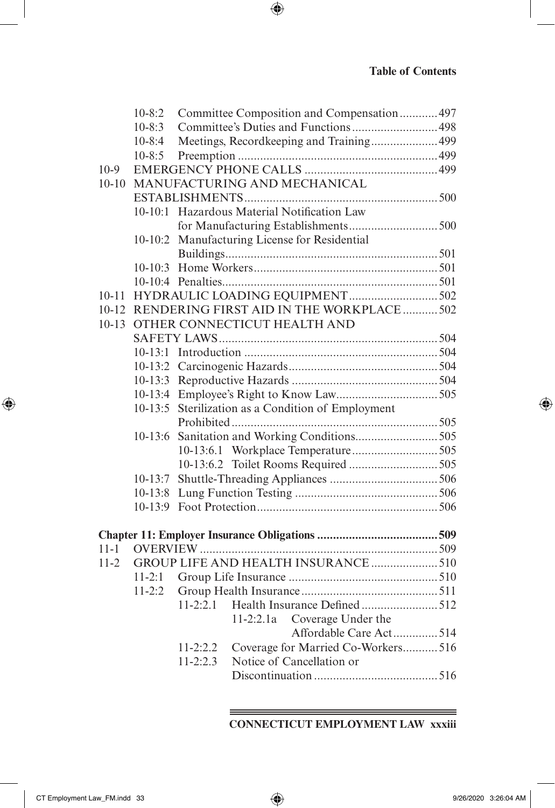|           | $10-8:2$                     |              | Committee Composition and Compensation 497         |  |  |
|-----------|------------------------------|--------------|----------------------------------------------------|--|--|
|           | $10-8:3$                     |              | Committee's Duties and Functions 498               |  |  |
|           | $10-8:4$                     |              | Meetings, Recordkeeping and Training499            |  |  |
|           | $10-8:5$                     |              |                                                    |  |  |
| $10-9$    |                              |              |                                                    |  |  |
| $10 - 10$ | MANUFACTURING AND MECHANICAL |              |                                                    |  |  |
|           |                              |              |                                                    |  |  |
|           | $10-10:1$                    |              | Hazardous Material Notification Law                |  |  |
|           |                              |              |                                                    |  |  |
|           |                              |              | 10-10:2 Manufacturing License for Residential      |  |  |
|           |                              |              |                                                    |  |  |
|           |                              |              |                                                    |  |  |
|           |                              |              |                                                    |  |  |
| $10 - 11$ |                              |              |                                                    |  |  |
| 10-12     |                              |              | RENDERING FIRST AID IN THE WORKPLACE  502          |  |  |
| $10 - 13$ |                              |              | OTHER CONNECTICUT HEALTH AND                       |  |  |
|           |                              |              |                                                    |  |  |
|           |                              |              |                                                    |  |  |
|           |                              |              |                                                    |  |  |
|           |                              |              |                                                    |  |  |
|           |                              |              |                                                    |  |  |
|           |                              |              | 10-13:5 Sterilization as a Condition of Employment |  |  |
|           |                              |              |                                                    |  |  |
|           | $10-13:6$                    |              |                                                    |  |  |
|           |                              |              |                                                    |  |  |
|           |                              |              |                                                    |  |  |
|           | $10-13:7$                    |              |                                                    |  |  |
|           |                              |              |                                                    |  |  |
|           |                              |              |                                                    |  |  |
|           |                              |              |                                                    |  |  |
|           |                              |              |                                                    |  |  |
| $11 - 1$  |                              |              |                                                    |  |  |
| $11-2$    |                              |              | GROUP LIFE AND HEALTH INSURANCE 510                |  |  |
|           | $11-2:1$                     |              |                                                    |  |  |
|           | $11 - 2:2$                   |              |                                                    |  |  |
|           |                              | $11 - 2:2.1$ | Health Insurance Defined 512                       |  |  |
|           |                              |              | Coverage Under the<br>11-2:2.1a                    |  |  |
|           |                              |              | Affordable Care Act514                             |  |  |
|           |                              | $11 - 2:2.2$ | Coverage for Married Co-Workers516                 |  |  |
|           |                              | $11 - 2:2.3$ | Notice of Cancellation or                          |  |  |
|           |                              |              |                                                    |  |  |
|           |                              |              |                                                    |  |  |

 $\bigoplus$ 

**CONNECTICUT EMPLOYMENT LAW xxxiii**

<u> 1989 - Johann Stein, marwolaethau a bhann an t-Amhair an t-Amhair an t-Amhair an t-Amhair an t-Amhair an t-A</u>

 $\bigoplus$ 

 $\bigoplus$